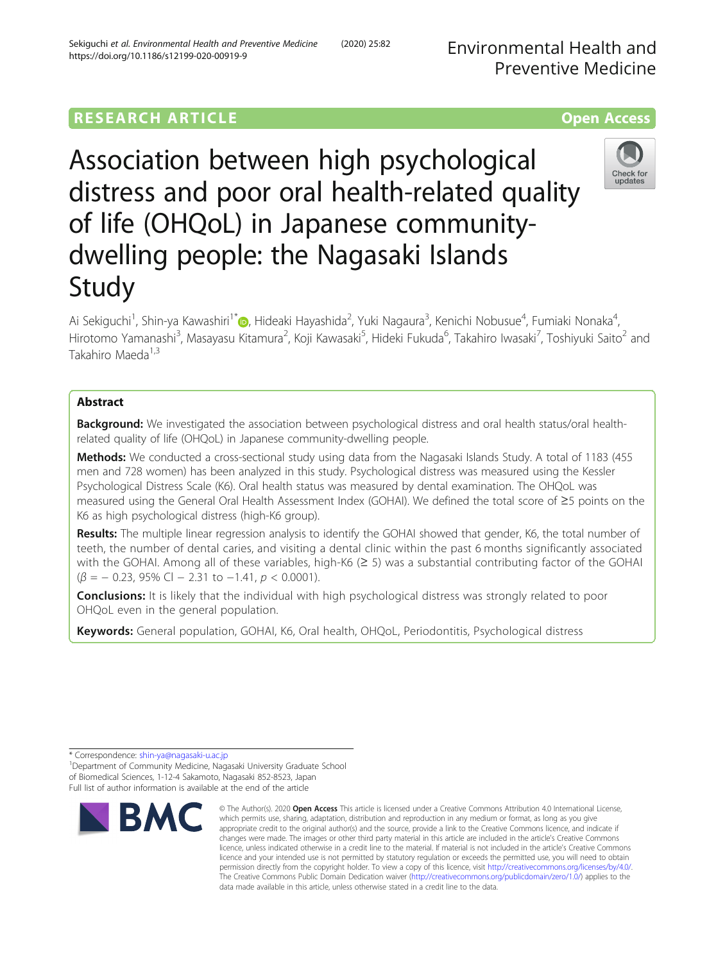# **RESEARCH ARTICLE Example 2014 12:30 THE OPEN ACCESS**

Association between high psychological distress and poor oral health-related quality of life (OHQoL) in Japanese communitydwelling people: the Nagasaki Islands Study

Ai Sekiguchi<sup>1</sup>, Shin-ya Kawashiri<sup>1[\\*](http://orcid.org/0000-0002-2606-995X)</sup>�, Hideaki Hayashida<sup>2</sup>, Yuki Nagaura<sup>3</sup>, Kenichi Nobusue<sup>4</sup>, Fumiaki Nonaka<sup>4</sup> , Hirotomo Yamanashi<sup>3</sup>, Masayasu Kitamura<sup>2</sup>, Koji Kawasaki<sup>5</sup>, Hideki Fukuda<sup>6</sup>, Takahiro Iwasaki<sup>7</sup>, Toshiyuki Saito<sup>2</sup> and Takahiro Maeda<sup>1,3</sup>

## Abstract

Background: We investigated the association between psychological distress and oral health status/oral healthrelated quality of life (OHQoL) in Japanese community-dwelling people.

Methods: We conducted a cross-sectional study using data from the Nagasaki Islands Study. A total of 1183 (455 men and 728 women) has been analyzed in this study. Psychological distress was measured using the Kessler Psychological Distress Scale (K6). Oral health status was measured by dental examination. The OHQoL was measured using the General Oral Health Assessment Index (GOHAI). We defined the total score of ≥5 points on the K6 as high psychological distress (high-K6 group).

Results: The multiple linear regression analysis to identify the GOHAI showed that gender, K6, the total number of teeth, the number of dental caries, and visiting a dental clinic within the past 6 months significantly associated with the GOHAI. Among all of these variables, high-K6 (≥ 5) was a substantial contributing factor of the GOHAI  $(\beta = -0.23, 95\% \text{ Cl} - 2.31 \text{ to } -1.41, p < 0.0001).$ 

**Conclusions:** It is likely that the individual with high psychological distress was strongly related to poor OHQoL even in the general population.

Keywords: General population, GOHAI, K6, Oral health, OHQoL, Periodontitis, Psychological distress







<sup>\*</sup> Correspondence: [shin-ya@nagasaki-u.ac.jp](mailto:shin-ya@nagasaki-u.ac.jp) <sup>1</sup>

<sup>&</sup>lt;sup>1</sup> Department of Community Medicine, Nagasaki University Graduate School of Biomedical Sciences, 1-12-4 Sakamoto, Nagasaki 852-8523, Japan Full list of author information is available at the end of the article

<sup>©</sup> The Author(s), 2020 **Open Access** This article is licensed under a Creative Commons Attribution 4.0 International License, which permits use, sharing, adaptation, distribution and reproduction in any medium or format, as long as you give appropriate credit to the original author(s) and the source, provide a link to the Creative Commons licence, and indicate if changes were made. The images or other third party material in this article are included in the article's Creative Commons licence, unless indicated otherwise in a credit line to the material. If material is not included in the article's Creative Commons licence and your intended use is not permitted by statutory regulation or exceeds the permitted use, you will need to obtain permission directly from the copyright holder. To view a copy of this licence, visit [http://creativecommons.org/licenses/by/4.0/.](http://creativecommons.org/licenses/by/4.0/) The Creative Commons Public Domain Dedication waiver [\(http://creativecommons.org/publicdomain/zero/1.0/](http://creativecommons.org/publicdomain/zero/1.0/)) applies to the data made available in this article, unless otherwise stated in a credit line to the data.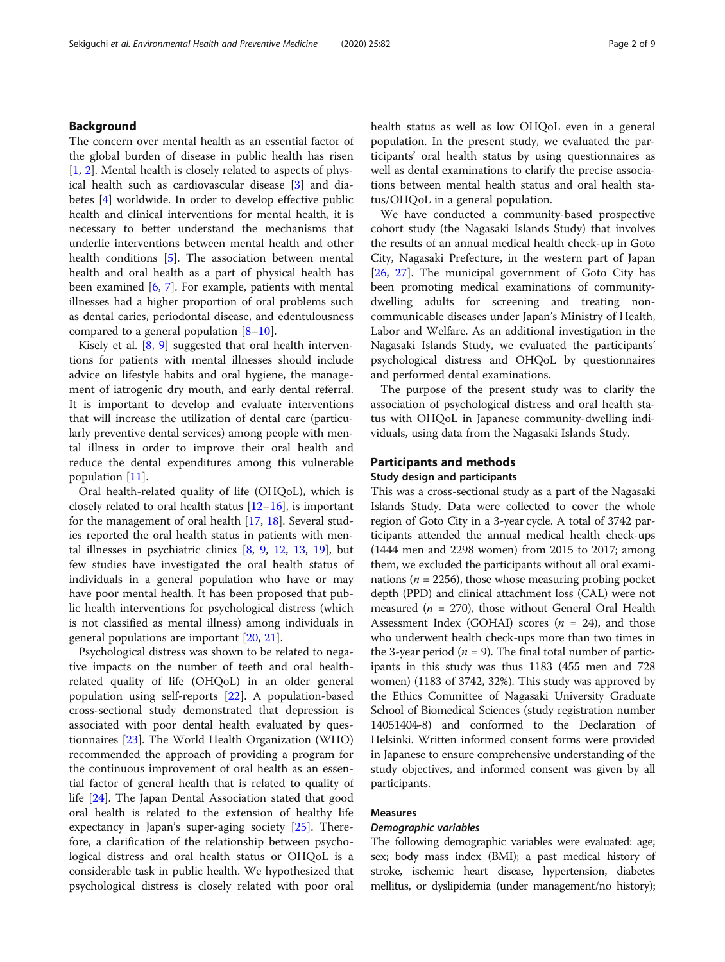### Background

The concern over mental health as an essential factor of the global burden of disease in public health has risen [[1,](#page-7-0) [2\]](#page-7-0). Mental health is closely related to aspects of physical health such as cardiovascular disease [[3\]](#page-7-0) and diabetes [\[4](#page-7-0)] worldwide. In order to develop effective public health and clinical interventions for mental health, it is necessary to better understand the mechanisms that underlie interventions between mental health and other health conditions [[5\]](#page-7-0). The association between mental health and oral health as a part of physical health has been examined [\[6](#page-7-0), [7](#page-7-0)]. For example, patients with mental illnesses had a higher proportion of oral problems such as dental caries, periodontal disease, and edentulousness compared to a general population [\[8](#page-7-0)–[10](#page-7-0)].

Kisely et al. [[8,](#page-7-0) [9](#page-7-0)] suggested that oral health interventions for patients with mental illnesses should include advice on lifestyle habits and oral hygiene, the management of iatrogenic dry mouth, and early dental referral. It is important to develop and evaluate interventions that will increase the utilization of dental care (particularly preventive dental services) among people with mental illness in order to improve their oral health and reduce the dental expenditures among this vulnerable population [[11\]](#page-7-0).

Oral health-related quality of life (OHQoL), which is closely related to oral health status [\[12](#page-7-0)–[16\]](#page-7-0), is important for the management of oral health [\[17](#page-7-0), [18](#page-7-0)]. Several studies reported the oral health status in patients with mental illnesses in psychiatric clinics [\[8](#page-7-0), [9](#page-7-0), [12,](#page-7-0) [13](#page-7-0), [19](#page-7-0)], but few studies have investigated the oral health status of individuals in a general population who have or may have poor mental health. It has been proposed that public health interventions for psychological distress (which is not classified as mental illness) among individuals in general populations are important [\[20](#page-7-0), [21](#page-7-0)].

Psychological distress was shown to be related to negative impacts on the number of teeth and oral healthrelated quality of life (OHQoL) in an older general population using self-reports [\[22](#page-7-0)]. A population-based cross-sectional study demonstrated that depression is associated with poor dental health evaluated by questionnaires [[23](#page-7-0)]. The World Health Organization (WHO) recommended the approach of providing a program for the continuous improvement of oral health as an essential factor of general health that is related to quality of life [[24\]](#page-7-0). The Japan Dental Association stated that good oral health is related to the extension of healthy life expectancy in Japan's super-aging society [\[25](#page-7-0)]. Therefore, a clarification of the relationship between psychological distress and oral health status or OHQoL is a considerable task in public health. We hypothesized that psychological distress is closely related with poor oral

health status as well as low OHQoL even in a general population. In the present study, we evaluated the participants' oral health status by using questionnaires as well as dental examinations to clarify the precise associations between mental health status and oral health status/OHQoL in a general population.

We have conducted a community-based prospective cohort study (the Nagasaki Islands Study) that involves the results of an annual medical health check-up in Goto City, Nagasaki Prefecture, in the western part of Japan [[26,](#page-7-0) [27\]](#page-7-0). The municipal government of Goto City has been promoting medical examinations of communitydwelling adults for screening and treating noncommunicable diseases under Japan's Ministry of Health, Labor and Welfare. As an additional investigation in the Nagasaki Islands Study, we evaluated the participants' psychological distress and OHQoL by questionnaires and performed dental examinations.

The purpose of the present study was to clarify the association of psychological distress and oral health status with OHQoL in Japanese community-dwelling individuals, using data from the Nagasaki Islands Study.

## Participants and methods

## Study design and participants

This was a cross-sectional study as a part of the Nagasaki Islands Study. Data were collected to cover the whole region of Goto City in a 3-year cycle. A total of 3742 participants attended the annual medical health check-ups (1444 men and 2298 women) from 2015 to 2017; among them, we excluded the participants without all oral examinations ( $n = 2256$ ), those whose measuring probing pocket depth (PPD) and clinical attachment loss (CAL) were not measured ( $n = 270$ ), those without General Oral Health Assessment Index (GOHAI) scores ( $n = 24$ ), and those who underwent health check-ups more than two times in the 3-year period ( $n = 9$ ). The final total number of participants in this study was thus 1183 (455 men and 728 women) (1183 of 3742, 32%). This study was approved by the Ethics Committee of Nagasaki University Graduate School of Biomedical Sciences (study registration number 14051404-8) and conformed to the Declaration of Helsinki. Written informed consent forms were provided in Japanese to ensure comprehensive understanding of the study objectives, and informed consent was given by all participants.

## Measures

#### Demographic variables

The following demographic variables were evaluated: age; sex; body mass index (BMI); a past medical history of stroke, ischemic heart disease, hypertension, diabetes mellitus, or dyslipidemia (under management/no history);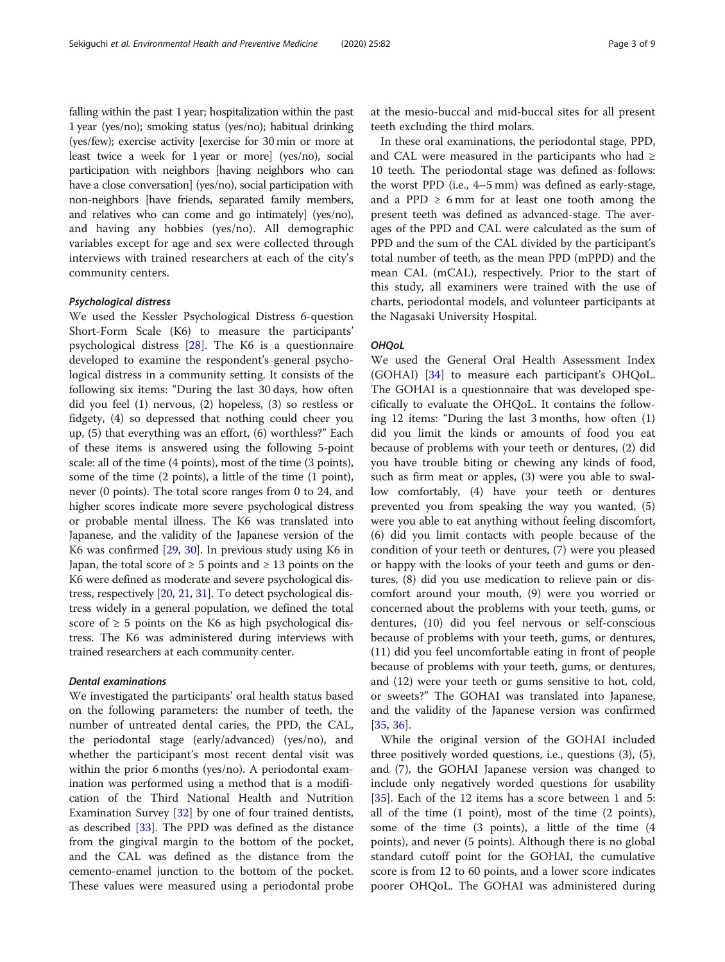falling within the past 1 year; hospitalization within the past 1 year (yes/no); smoking status (yes/no); habitual drinking (yes/few); exercise activity [exercise for 30 min or more at least twice a week for 1 year or more] (yes/no), social participation with neighbors [having neighbors who can have a close conversation] (yes/no), social participation with non-neighbors [have friends, separated family members, and relatives who can come and go intimately] (yes/no), and having any hobbies (yes/no). All demographic variables except for age and sex were collected through interviews with trained researchers at each of the city's community centers.

### Psychological distress

We used the Kessler Psychological Distress 6-question Short-Form Scale (K6) to measure the participants' psychological distress [\[28](#page-7-0)]. The K6 is a questionnaire developed to examine the respondent's general psychological distress in a community setting. It consists of the following six items: "During the last 30 days, how often did you feel (1) nervous, (2) hopeless, (3) so restless or fidgety, (4) so depressed that nothing could cheer you up, (5) that everything was an effort, (6) worthless?" Each of these items is answered using the following 5-point scale: all of the time (4 points), most of the time (3 points), some of the time (2 points), a little of the time (1 point), never (0 points). The total score ranges from 0 to 24, and higher scores indicate more severe psychological distress or probable mental illness. The K6 was translated into Japanese, and the validity of the Japanese version of the K6 was confirmed [[29](#page-7-0), [30](#page-7-0)]. In previous study using K6 in Japan, the total score of  $\geq 5$  points and  $\geq 13$  points on the K6 were defined as moderate and severe psychological distress, respectively [\[20,](#page-7-0) [21](#page-7-0), [31\]](#page-8-0). To detect psychological distress widely in a general population, we defined the total score of  $\geq$  5 points on the K6 as high psychological distress. The K6 was administered during interviews with trained researchers at each community center.

### Dental examinations

We investigated the participants' oral health status based on the following parameters: the number of teeth, the number of untreated dental caries, the PPD, the CAL, the periodontal stage (early/advanced) (yes/no), and whether the participant's most recent dental visit was within the prior 6 months (yes/no). A periodontal examination was performed using a method that is a modification of the Third National Health and Nutrition Examination Survey [\[32](#page-8-0)] by one of four trained dentists, as described [[33](#page-8-0)]. The PPD was defined as the distance from the gingival margin to the bottom of the pocket, and the CAL was defined as the distance from the cemento-enamel junction to the bottom of the pocket. These values were measured using a periodontal probe at the mesio-buccal and mid-buccal sites for all present teeth excluding the third molars.

In these oral examinations, the periodontal stage, PPD, and CAL were measured in the participants who had  $\geq$ 10 teeth. The periodontal stage was defined as follows: the worst PPD (i.e., 4–5 mm) was defined as early-stage, and a PPD  $\geq 6$  mm for at least one tooth among the present teeth was defined as advanced-stage. The averages of the PPD and CAL were calculated as the sum of PPD and the sum of the CAL divided by the participant's total number of teeth, as the mean PPD (mPPD) and the mean CAL (mCAL), respectively. Prior to the start of this study, all examiners were trained with the use of charts, periodontal models, and volunteer participants at the Nagasaki University Hospital.

### **OHQoL**

We used the General Oral Health Assessment Index (GOHAI) [\[34](#page-8-0)] to measure each participant's OHQoL. The GOHAI is a questionnaire that was developed specifically to evaluate the OHQoL. It contains the following 12 items: "During the last 3 months, how often (1) did you limit the kinds or amounts of food you eat because of problems with your teeth or dentures, (2) did you have trouble biting or chewing any kinds of food, such as firm meat or apples, (3) were you able to swallow comfortably, (4) have your teeth or dentures prevented you from speaking the way you wanted, (5) were you able to eat anything without feeling discomfort, (6) did you limit contacts with people because of the condition of your teeth or dentures, (7) were you pleased or happy with the looks of your teeth and gums or dentures, (8) did you use medication to relieve pain or discomfort around your mouth, (9) were you worried or concerned about the problems with your teeth, gums, or dentures, (10) did you feel nervous or self-conscious because of problems with your teeth, gums, or dentures, (11) did you feel uncomfortable eating in front of people because of problems with your teeth, gums, or dentures, and (12) were your teeth or gums sensitive to hot, cold, or sweets?" The GOHAI was translated into Japanese, and the validity of the Japanese version was confirmed [[35,](#page-8-0) [36\]](#page-8-0).

While the original version of the GOHAI included three positively worded questions, i.e., questions (3), (5), and (7), the GOHAI Japanese version was changed to include only negatively worded questions for usability [[35\]](#page-8-0). Each of the 12 items has a score between 1 and 5: all of the time (1 point), most of the time (2 points), some of the time (3 points), a little of the time (4 points), and never (5 points). Although there is no global standard cutoff point for the GOHAI, the cumulative score is from 12 to 60 points, and a lower score indicates poorer OHQoL. The GOHAI was administered during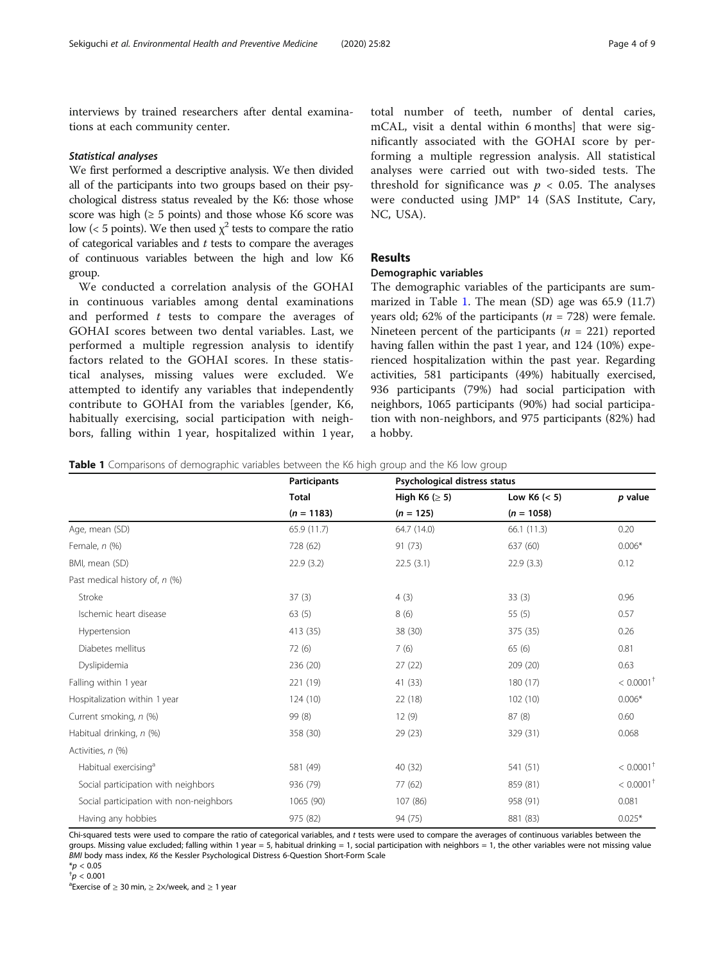<span id="page-3-0"></span>interviews by trained researchers after dental examinations at each community center.

#### Statistical analyses

We first performed a descriptive analysis. We then divided all of the participants into two groups based on their psychological distress status revealed by the K6: those whose score was high ( $\geq 5$  points) and those whose K6 score was low (< 5 points). We then used  $\chi^2$  tests to compare the ratio of categorical variables and  $t$  tests to compare the averages of continuous variables between the high and low K6 group.

We conducted a correlation analysis of the GOHAI in continuous variables among dental examinations and performed  $t$  tests to compare the averages of GOHAI scores between two dental variables. Last, we performed a multiple regression analysis to identify factors related to the GOHAI scores. In these statistical analyses, missing values were excluded. We attempted to identify any variables that independently contribute to GOHAI from the variables [gender, K6, habitually exercising, social participation with neighbors, falling within 1 year, hospitalized within 1 year,

total number of teeth, number of dental caries, mCAL, visit a dental within 6 months] that were significantly associated with the GOHAI score by performing a multiple regression analysis. All statistical analyses were carried out with two-sided tests. The threshold for significance was  $p < 0.05$ . The analyses were conducted using JMP® 14 (SAS Institute, Cary, NC, USA).

## Results

## Demographic variables

The demographic variables of the participants are summarized in Table 1. The mean (SD) age was 65.9 (11.7) years old; 62% of the participants ( $n = 728$ ) were female. Nineteen percent of the participants ( $n = 221$ ) reported having fallen within the past 1 year, and 124 (10%) experienced hospitalization within the past year. Regarding activities, 581 participants (49%) habitually exercised, 936 participants (79%) had social participation with neighbors, 1065 participants (90%) had social participation with non-neighbors, and 975 participants (82%) had a hobby.

**Table 1** Comparisons of demographic variables between the K6 high group and the K6 low group

|                                         | <b>Participants</b> |                     | Psychological distress status  |                         |  |
|-----------------------------------------|---------------------|---------------------|--------------------------------|-------------------------|--|
|                                         | <b>Total</b>        | High K6 ( $\geq$ 5) | Low K6 $(< 5)$<br>$(n = 1058)$ | p value                 |  |
|                                         | $(n = 1183)$        | $(n = 125)$         |                                |                         |  |
| Age, mean (SD)                          | 65.9 (11.7)         | 64.7 (14.0)         | 66.1(11.3)                     | 0.20                    |  |
| Female, $n$ (%)                         | 728 (62)            | 91 (73)             | 637 (60)                       | $0.006*$                |  |
| BMI, mean (SD)                          | 22.9(3.2)           | 22.5(3.1)           | 22.9(3.3)                      | 0.12                    |  |
| Past medical history of, n (%)          |                     |                     |                                |                         |  |
| Stroke                                  | 37(3)               | 4(3)                | 33(3)                          | 0.96                    |  |
| Ischemic heart disease                  | 63(5)               | 8(6)                | 55 $(5)$                       | 0.57                    |  |
| Hypertension                            | 413 (35)            | 38 (30)             | 375 (35)                       | 0.26                    |  |
| Diabetes mellitus                       | 72(6)               | 7(6)                | 65(6)                          | 0.81                    |  |
| Dyslipidemia                            | 236 (20)            | 27(22)              | 209 (20)                       | 0.63                    |  |
| Falling within 1 year                   | 221 (19)            | 41 (33)             | 180 (17)                       | $< 0.0001$ <sup>†</sup> |  |
| Hospitalization within 1 year           | 124(10)             | 22(18)              | 102(10)                        | $0.006*$                |  |
| Current smoking, n (%)                  | 99 (8)              | 12(9)               | 87 (8)                         | 0.60                    |  |
| Habitual drinking, n (%)                | 358 (30)            | 29 (23)             | 329 (31)                       | 0.068                   |  |
| Activities, n (%)                       |                     |                     |                                |                         |  |
| Habitual exercising <sup>a</sup>        | 581 (49)            | 40 (32)             | 541 (51)                       | $< 0.0001$ <sup>†</sup> |  |
| Social participation with neighbors     | 936 (79)            | 77(62)              | 859 (81)                       | $< 0.0001$ <sup>+</sup> |  |
| Social participation with non-neighbors | 1065 (90)           | 107 (86)            | 958 (91)                       | 0.081                   |  |
| Having any hobbies                      | 975 (82)            | 94 (75)             | 881 (83)                       | $0.025*$                |  |

Chi-squared tests were used to compare the ratio of categorical variables, and t tests were used to compare the averages of continuous variables between the groups. Missing value excluded; falling within 1 year = 5, habitual drinking = 1, social participation with neighbors = 1, the other variables were not missing value BMI body mass index, K6 the Kessler Psychological Distress 6-Question Short-Form Scale  $*_{p}$  < 0.05

 $a^2$ Exercise of  $\geq 30$  min,  $\geq 2 \times$ /week, and  $\geq 1$  year

 $^{\dagger}p < 0.001$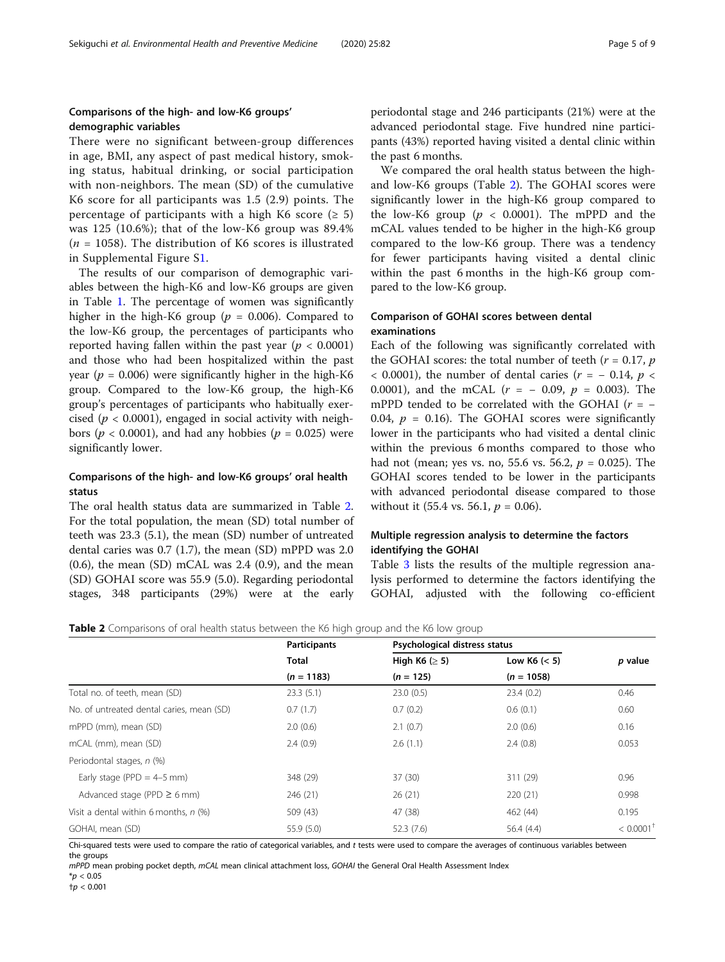## Comparisons of the high- and low-K6 groups' demographic variables

There were no significant between-group differences in age, BMI, any aspect of past medical history, smoking status, habitual drinking, or social participation with non-neighbors. The mean (SD) of the cumulative K6 score for all participants was 1.5 (2.9) points. The percentage of participants with a high K6 score ( $\geq$  5) was 125 (10.6%); that of the low-K6 group was 89.4%  $(n = 1058)$ . The distribution of K6 scores is illustrated in Supplemental Figure S[1](#page-6-0).

The results of our comparison of demographic variables between the high-K6 and low-K6 groups are given in Table [1.](#page-3-0) The percentage of women was significantly higher in the high-K6 group ( $p = 0.006$ ). Compared to the low-K6 group, the percentages of participants who reported having fallen within the past year ( $p < 0.0001$ ) and those who had been hospitalized within the past year ( $p = 0.006$ ) were significantly higher in the high-K6 group. Compared to the low-K6 group, the high-K6 group's percentages of participants who habitually exercised ( $p < 0.0001$ ), engaged in social activity with neighbors ( $p < 0.0001$ ), and had any hobbies ( $p = 0.025$ ) were significantly lower.

## Comparisons of the high- and low-K6 groups' oral health status

The oral health status data are summarized in Table 2. For the total population, the mean (SD) total number of teeth was 23.3 (5.1), the mean (SD) number of untreated dental caries was 0.7 (1.7), the mean (SD) mPPD was 2.0  $(0.6)$ , the mean  $(SD)$  mCAL was 2.4  $(0.9)$ , and the mean (SD) GOHAI score was 55.9 (5.0). Regarding periodontal stages, 348 participants (29%) were at the early

periodontal stage and 246 participants (21%) were at the advanced periodontal stage. Five hundred nine participants (43%) reported having visited a dental clinic within the past 6 months.

We compared the oral health status between the highand low-K6 groups (Table 2). The GOHAI scores were significantly lower in the high-K6 group compared to the low-K6 group ( $p < 0.0001$ ). The mPPD and the mCAL values tended to be higher in the high-K6 group compared to the low-K6 group. There was a tendency for fewer participants having visited a dental clinic within the past 6 months in the high-K6 group compared to the low-K6 group.

## Comparison of GOHAI scores between dental examinations

Each of the following was significantly correlated with the GOHAI scores: the total number of teeth ( $r = 0.17$ ,  $p$ ) < 0.0001), the number of dental caries ( $r = -0.14$ ,  $p <$ 0.0001), and the mCAL ( $r = -0.09$ ,  $p = 0.003$ ). The mPPD tended to be correlated with the GOHAI ( $r = -$ 0.04,  $p = 0.16$ ). The GOHAI scores were significantly lower in the participants who had visited a dental clinic within the previous 6 months compared to those who had not (mean; yes vs. no, 55.6 vs. 56.2,  $p = 0.025$ ). The GOHAI scores tended to be lower in the participants with advanced periodontal disease compared to those without it (55.4 vs. 56.1,  $p = 0.06$ ).

## Multiple regression analysis to determine the factors identifying the GOHAI

Table [3](#page-5-0) lists the results of the multiple regression analysis performed to determine the factors identifying the GOHAI, adjusted with the following co-efficient

|  | Table 2 Comparisons of oral health status between the K6 high group and the K6 low group |  |  |
|--|------------------------------------------------------------------------------------------|--|--|
|  |                                                                                          |  |  |

|                                           | <b>Participants</b> |                     | Psychological distress status |                         |
|-------------------------------------------|---------------------|---------------------|-------------------------------|-------------------------|
|                                           | <b>Total</b>        | High K6 ( $\geq$ 5) | Low K6 $(< 5)$                | p value                 |
|                                           | $(n = 1183)$        | $(n = 125)$         | $(n = 1058)$                  |                         |
| Total no. of teeth, mean (SD)             | 23.3(5.1)           | 23.0(0.5)           | 23.4(0.2)                     | 0.46                    |
| No. of untreated dental caries, mean (SD) | 0.7(1.7)            | 0.7(0.2)            | 0.6(0.1)                      | 0.60                    |
| mPPD (mm), mean (SD)                      | 2.0(0.6)            | 2.1(0.7)            | 2.0(0.6)                      | 0.16                    |
| mCAL (mm), mean (SD)                      | 2.4(0.9)            | 2.6(1.1)            | 2.4(0.8)                      | 0.053                   |
| Periodontal stages, n (%)                 |                     |                     |                               |                         |
| Early stage (PPD = $4-5$ mm)              | 348 (29)            | 37(30)              | 311 (29)                      | 0.96                    |
| Advanced stage (PPD $\geq$ 6 mm)          | 246 (21)            | 26(21)              | 220 (21)                      | 0.998                   |
| Visit a dental within 6 months, $n$ (%)   | 509 (43)            | 47 (38)             | 462 (44)                      | 0.195                   |
| GOHAI, mean (SD)                          | 55.9(5.0)           | 52.3(7.6)           | 56.4 (4.4)                    | $< 0.0001$ <sup>+</sup> |

Chi-squared tests were used to compare the ratio of categorical variables, and t tests were used to compare the averages of continuous variables between the groups

mPPD mean probing pocket depth, mCAL mean clinical attachment loss, GOHAI the General Oral Health Assessment Index  $*_{p}$  < 0.05

 ${\dagger}p < 0.001$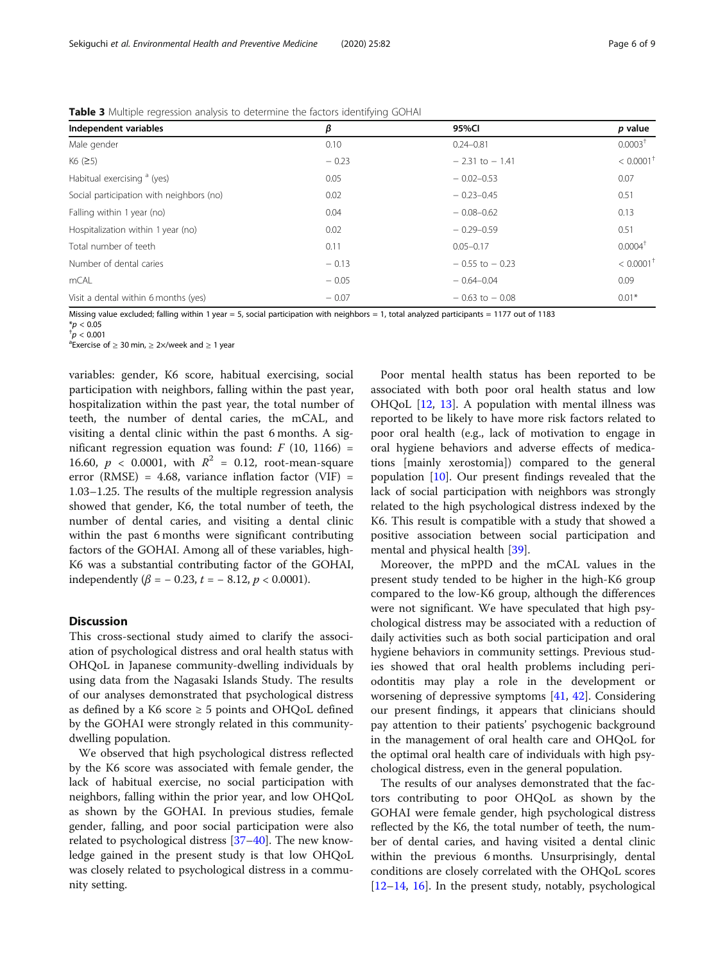| Independent variables                    | β       | 95%CI              | p value                 |
|------------------------------------------|---------|--------------------|-------------------------|
| Male gender                              | 0.10    | $0.24 - 0.81$      | 0.0003 <sup>†</sup>     |
| K6 (25)                                  | $-0.23$ | $-2.31$ to $-1.41$ | $< 0.0001$ <sup>1</sup> |
| Habitual exercising <sup>a</sup> (yes)   | 0.05    | $-0.02 - 0.53$     | 0.07                    |
| Social participation with neighbors (no) | 0.02    | $-0.23 - 0.45$     | 0.51                    |
| Falling within 1 year (no)               | 0.04    | $-0.08 - 0.62$     | 0.13                    |
| Hospitalization within 1 year (no)       | 0.02    | $-0.29 - 0.59$     | 0.51                    |
| Total number of teeth                    | 0.11    | $0.05 - 0.17$      | $0.0004^+$              |
| Number of dental caries                  | $-0.13$ | $-0.55$ to $-0.23$ | $< 0.0001$ <sup>+</sup> |
| mCAL                                     | $-0.05$ | $-0.64 - 0.04$     | 0.09                    |
| Visit a dental within 6 months (yes)     | $-0.07$ | $-0.63$ to $-0.08$ | $0.01*$                 |

<span id="page-5-0"></span>Table 3 Multiple regression analysis to determine the factors identifying GOHAI

Missing value excluded; falling within 1 year = 5, social participation with neighbors = 1, total analyzed participants = 1177 out of 1183

 $*_{p}$  < 0.05

 $\sigma^+$ p < 0.001  ${}^{\text{a}}$ Exercise of  $\geq$  30 min,  $\geq$  2×/week and  $\geq$  1 year

variables: gender, K6 score, habitual exercising, social participation with neighbors, falling within the past year, hospitalization within the past year, the total number of teeth, the number of dental caries, the mCAL, and visiting a dental clinic within the past 6 months. A significant regression equation was found:  $F(10, 1166) =$ 16.60,  $p < 0.0001$ , with  $R^2 = 0.12$ , root-mean-square error (RMSE) = 4.68, variance inflation factor (VIF) = 1.03–1.25. The results of the multiple regression analysis showed that gender, K6, the total number of teeth, the number of dental caries, and visiting a dental clinic within the past 6 months were significant contributing factors of the GOHAI. Among all of these variables, high-K6 was a substantial contributing factor of the GOHAI, independently ( $\beta$  = -0.23, t = -8.12, p < 0.0001).

## **Discussion**

This cross-sectional study aimed to clarify the association of psychological distress and oral health status with OHQoL in Japanese community-dwelling individuals by using data from the Nagasaki Islands Study. The results of our analyses demonstrated that psychological distress as defined by a K6 score  $\geq$  5 points and OHQoL defined by the GOHAI were strongly related in this communitydwelling population.

We observed that high psychological distress reflected by the K6 score was associated with female gender, the lack of habitual exercise, no social participation with neighbors, falling within the prior year, and low OHQoL as shown by the GOHAI. In previous studies, female gender, falling, and poor social participation were also related to psychological distress [\[37](#page-8-0)–[40\]](#page-8-0). The new knowledge gained in the present study is that low OHQoL was closely related to psychological distress in a community setting.

Poor mental health status has been reported to be associated with both poor oral health status and low OHQoL [[12](#page-7-0), [13](#page-7-0)]. A population with mental illness was reported to be likely to have more risk factors related to poor oral health (e.g., lack of motivation to engage in oral hygiene behaviors and adverse effects of medications [mainly xerostomia]) compared to the general population [\[10](#page-7-0)]. Our present findings revealed that the lack of social participation with neighbors was strongly related to the high psychological distress indexed by the K6. This result is compatible with a study that showed a positive association between social participation and mental and physical health [[39](#page-8-0)].

Moreover, the mPPD and the mCAL values in the present study tended to be higher in the high-K6 group compared to the low-K6 group, although the differences were not significant. We have speculated that high psychological distress may be associated with a reduction of daily activities such as both social participation and oral hygiene behaviors in community settings. Previous studies showed that oral health problems including periodontitis may play a role in the development or worsening of depressive symptoms [\[41,](#page-8-0) [42](#page-8-0)]. Considering our present findings, it appears that clinicians should pay attention to their patients' psychogenic background in the management of oral health care and OHQoL for the optimal oral health care of individuals with high psychological distress, even in the general population.

The results of our analyses demonstrated that the factors contributing to poor OHQoL as shown by the GOHAI were female gender, high psychological distress reflected by the K6, the total number of teeth, the number of dental caries, and having visited a dental clinic within the previous 6 months. Unsurprisingly, dental conditions are closely correlated with the OHQoL scores  $[12–14, 16]$  $[12–14, 16]$  $[12–14, 16]$  $[12–14, 16]$  $[12–14, 16]$  $[12–14, 16]$  $[12–14, 16]$ . In the present study, notably, psychological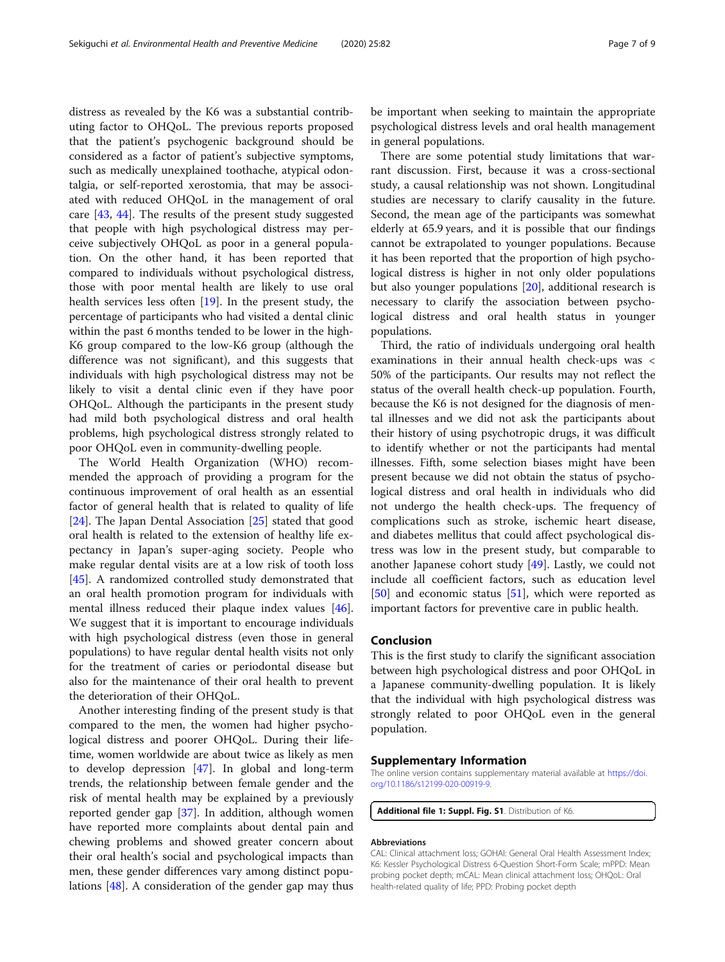<span id="page-6-0"></span>distress as revealed by the K6 was a substantial contributing factor to OHQoL. The previous reports proposed that the patient's psychogenic background should be considered as a factor of patient's subjective symptoms, such as medically unexplained toothache, atypical odontalgia, or self-reported xerostomia, that may be associated with reduced OHQoL in the management of oral care [\[43](#page-8-0), [44\]](#page-8-0). The results of the present study suggested that people with high psychological distress may perceive subjectively OHQoL as poor in a general population. On the other hand, it has been reported that compared to individuals without psychological distress, those with poor mental health are likely to use oral health services less often [\[19](#page-7-0)]. In the present study, the percentage of participants who had visited a dental clinic within the past 6 months tended to be lower in the high-K6 group compared to the low-K6 group (although the difference was not significant), and this suggests that individuals with high psychological distress may not be likely to visit a dental clinic even if they have poor OHQoL. Although the participants in the present study had mild both psychological distress and oral health problems, high psychological distress strongly related to poor OHQoL even in community-dwelling people.

The World Health Organization (WHO) recommended the approach of providing a program for the continuous improvement of oral health as an essential factor of general health that is related to quality of life [[24\]](#page-7-0). The Japan Dental Association [\[25](#page-7-0)] stated that good oral health is related to the extension of healthy life expectancy in Japan's super-aging society. People who make regular dental visits are at a low risk of tooth loss [[45\]](#page-8-0). A randomized controlled study demonstrated that an oral health promotion program for individuals with mental illness reduced their plaque index values [\[46](#page-8-0)]. We suggest that it is important to encourage individuals with high psychological distress (even those in general populations) to have regular dental health visits not only for the treatment of caries or periodontal disease but also for the maintenance of their oral health to prevent the deterioration of their OHQoL.

Another interesting finding of the present study is that compared to the men, the women had higher psychological distress and poorer OHQoL. During their lifetime, women worldwide are about twice as likely as men to develop depression [[47](#page-8-0)]. In global and long-term trends, the relationship between female gender and the risk of mental health may be explained by a previously reported gender gap [[37\]](#page-8-0). In addition, although women have reported more complaints about dental pain and chewing problems and showed greater concern about their oral health's social and psychological impacts than men, these gender differences vary among distinct populations [\[48\]](#page-8-0). A consideration of the gender gap may thus

be important when seeking to maintain the appropriate psychological distress levels and oral health management in general populations.

There are some potential study limitations that warrant discussion. First, because it was a cross-sectional study, a causal relationship was not shown. Longitudinal studies are necessary to clarify causality in the future. Second, the mean age of the participants was somewhat elderly at 65.9 years, and it is possible that our findings cannot be extrapolated to younger populations. Because it has been reported that the proportion of high psychological distress is higher in not only older populations but also younger populations [\[20\]](#page-7-0), additional research is necessary to clarify the association between psychological distress and oral health status in younger populations.

Third, the ratio of individuals undergoing oral health examinations in their annual health check-ups was < 50% of the participants. Our results may not reflect the status of the overall health check-up population. Fourth, because the K6 is not designed for the diagnosis of mental illnesses and we did not ask the participants about their history of using psychotropic drugs, it was difficult to identify whether or not the participants had mental illnesses. Fifth, some selection biases might have been present because we did not obtain the status of psychological distress and oral health in individuals who did not undergo the health check-ups. The frequency of complications such as stroke, ischemic heart disease, and diabetes mellitus that could affect psychological distress was low in the present study, but comparable to another Japanese cohort study [[49](#page-8-0)]. Lastly, we could not include all coefficient factors, such as education level  $[50]$  $[50]$  and economic status  $[51]$  $[51]$ , which were reported as important factors for preventive care in public health.

### Conclusion

This is the first study to clarify the significant association between high psychological distress and poor OHQoL in a Japanese community-dwelling population. It is likely that the individual with high psychological distress was strongly related to poor OHQoL even in the general population.

### Supplementary Information

The online version contains supplementary material available at [https://doi.](https://doi.org/10.1186/s12199-020-00919-9) [org/10.1186/s12199-020-00919-9.](https://doi.org/10.1186/s12199-020-00919-9)

Additional file 1: Suppl. Fig. S1. Distribution of K6

#### Abbreviations

CAL: Clinical attachment loss; GOHAI: General Oral Health Assessment Index; K6: Kessler Psychological Distress 6-Question Short-Form Scale; mPPD: Mean probing pocket depth; mCAL: Mean clinical attachment loss; OHQoL: Oral health-related quality of life; PPD: Probing pocket depth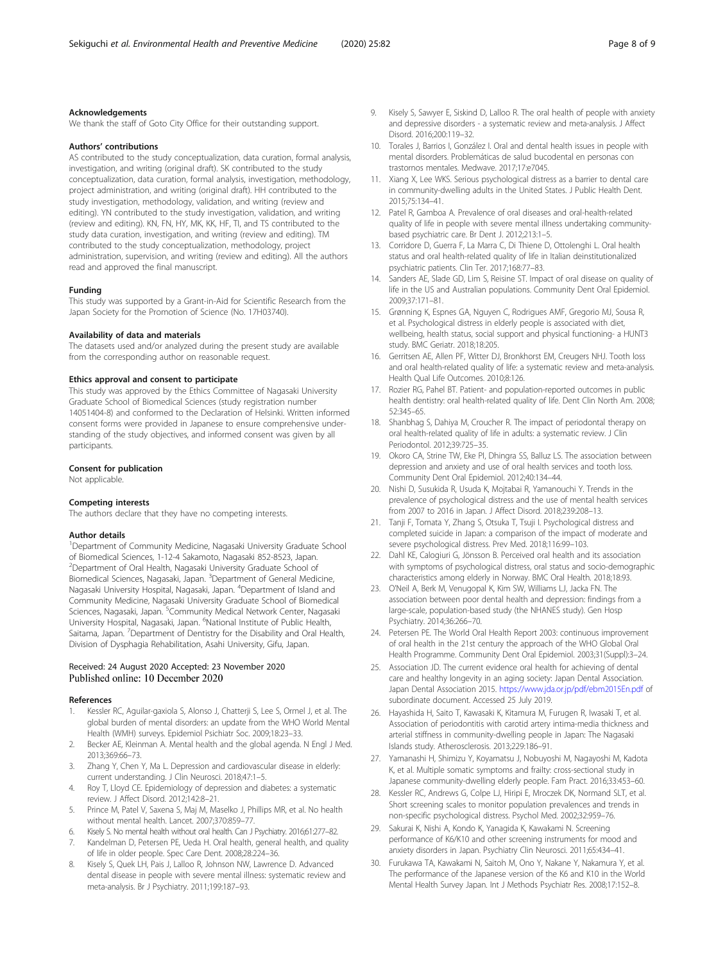### <span id="page-7-0"></span>Acknowledgements

We thank the staff of Goto City Office for their outstanding support.

#### Authors' contributions

AS contributed to the study conceptualization, data curation, formal analysis, investigation, and writing (original draft). SK contributed to the study conceptualization, data curation, formal analysis, investigation, methodology, project administration, and writing (original draft). HH contributed to the study investigation, methodology, validation, and writing (review and editing). YN contributed to the study investigation, validation, and writing (review and editing). KN, FN, HY, MK, KK, HF, TI, and TS contributed to the study data curation, investigation, and writing (review and editing). TM contributed to the study conceptualization, methodology, project administration, supervision, and writing (review and editing). All the authors read and approved the final manuscript.

#### Funding

This study was supported by a Grant-in-Aid for Scientific Research from the Japan Society for the Promotion of Science (No. 17H03740).

### Availability of data and materials

The datasets used and/or analyzed during the present study are available from the corresponding author on reasonable request.

#### Ethics approval and consent to participate

This study was approved by the Ethics Committee of Nagasaki University Graduate School of Biomedical Sciences (study registration number 14051404-8) and conformed to the Declaration of Helsinki. Written informed consent forms were provided in Japanese to ensure comprehensive understanding of the study objectives, and informed consent was given by all participants.

#### Consent for publication

Not applicable.

#### Competing interests

The authors declare that they have no competing interests.

#### Author details

<sup>1</sup>Department of Community Medicine, Nagasaki University Graduate School of Biomedical Sciences, 1-12-4 Sakamoto, Nagasaki 852-8523, Japan. 2 Department of Oral Health, Nagasaki University Graduate School of Biomedical Sciences, Nagasaki, Japan. <sup>3</sup>Department of General Medicine, Nagasaki University Hospital, Nagasaki, Japan. <sup>4</sup>Department of Island and Community Medicine, Nagasaki University Graduate School of Biomedical Sciences, Nagasaki, Japan. <sup>5</sup>Community Medical Network Center, Nagasaki University Hospital, Nagasaki, Japan. <sup>6</sup>National Institute of Public Health, Saitama, Japan. <sup>7</sup>Department of Dentistry for the Disability and Oral Health, Division of Dysphagia Rehabilitation, Asahi University, Gifu, Japan.

### Received: 24 August 2020 Accepted: 23 November 2020 Published online: 10 December 2020

#### References

- Kessler RC, Aguilar-gaxiola S, Alonso J, Chatterji S, Lee S, Ormel J, et al. The global burden of mental disorders: an update from the WHO World Mental Health (WMH) surveys. Epidemiol Psichiatr Soc. 2009;18:23–33.
- 2. Becker AE, Kleinman A. Mental health and the global agenda. N Engl J Med. 2013;369:66–73.
- 3. Zhang Y, Chen Y, Ma L. Depression and cardiovascular disease in elderly: current understanding. J Clin Neurosci. 2018;47:1–5.
- 4. Roy T, Lloyd CE. Epidemiology of depression and diabetes: a systematic review. J Affect Disord. 2012;142:8–21.
- 5. Prince M, Patel V, Saxena S, Maj M, Maselko J, Phillips MR, et al. No health without mental health. Lancet. 2007;370:859–77.
- 6. Kisely S. No mental health without oral health. Can J Psychiatry. 2016;61:277–82.
- 7. Kandelman D, Petersen PE, Ueda H. Oral health, general health, and quality of life in older people. Spec Care Dent. 2008;28:224–36.
- Kisely S, Quek LH, Pais J, Lalloo R, Johnson NW, Lawrence D. Advanced dental disease in people with severe mental illness: systematic review and meta-analysis. Br J Psychiatry. 2011;199:187–93.
- Kisely S, Sawyer E, Siskind D, Lalloo R. The oral health of people with anxiety and depressive disorders - a systematic review and meta-analysis. J Affect Disord. 2016;200:119–32.
- 10. Torales J, Barrios I, González I. Oral and dental health issues in people with mental disorders. Problemáticas de salud bucodental en personas con trastornos mentales. Medwave. 2017;17:e7045.
- 11. Xiang X, Lee WKS. Serious psychological distress as a barrier to dental care in community-dwelling adults in the United States. J Public Health Dent. 2015;75:134–41.
- 12. Patel R, Gamboa A. Prevalence of oral diseases and oral-health-related quality of life in people with severe mental illness undertaking communitybased psychiatric care. Br Dent J. 2012;213:1–5.
- 13. Corridore D, Guerra F, La Marra C, Di Thiene D, Ottolenghi L. Oral health status and oral health-related quality of life in Italian deinstitutionalized psychiatric patients. Clin Ter. 2017;168:77–83.
- 14. Sanders AE, Slade GD, Lim S, Reisine ST. Impact of oral disease on quality of life in the US and Australian populations. Community Dent Oral Epidemiol. 2009;37:171–81.
- 15. Grønning K, Espnes GA, Nguyen C, Rodrigues AMF, Gregorio MJ, Sousa R, et al. Psychological distress in elderly people is associated with diet, wellbeing, health status, social support and physical functioning- a HUNT3 study. BMC Geriatr. 2018;18:205.
- 16. Gerritsen AE, Allen PF, Witter DJ, Bronkhorst EM, Creugers NHJ. Tooth loss and oral health-related quality of life: a systematic review and meta-analysis. Health Qual Life Outcomes. 2010;8:126.
- 17. Rozier RG, Pahel BT. Patient- and population-reported outcomes in public health dentistry: oral health-related quality of life. Dent Clin North Am. 2008; 52:345–65.
- 18. Shanbhag S, Dahiya M, Croucher R. The impact of periodontal therapy on oral health-related quality of life in adults: a systematic review. J Clin Periodontol. 2012;39:725–35.
- 19. Okoro CA, Strine TW, Eke PI, Dhingra SS, Balluz LS. The association between depression and anxiety and use of oral health services and tooth loss. Community Dent Oral Epidemiol. 2012;40:134–44.
- 20. Nishi D, Susukida R, Usuda K, Mojtabai R, Yamanouchi Y. Trends in the prevalence of psychological distress and the use of mental health services from 2007 to 2016 in Japan. J Affect Disord. 2018;239:208–13.
- 21. Tanji F, Tomata Y, Zhang S, Otsuka T, Tsuji I. Psychological distress and completed suicide in Japan: a comparison of the impact of moderate and severe psychological distress. Prev Med. 2018;116:99–103.
- 22. Dahl KE, Calogiuri G, Jönsson B. Perceived oral health and its association with symptoms of psychological distress, oral status and socio-demographic characteristics among elderly in Norway. BMC Oral Health. 2018;18:93.
- 23. O'Neil A, Berk M, Venugopal K, Kim SW, Williams LJ, Jacka FN. The association between poor dental health and depression: findings from a large-scale, population-based study (the NHANES study). Gen Hosp Psychiatry. 2014;36:266–70.
- 24. Petersen PE. The World Oral Health Report 2003: continuous improvement of oral health in the 21st century the approach of the WHO Global Oral Health Programme. Community Dent Oral Epidemiol. 2003;31(Suppl):3–24.
- 25. Association JD. The current evidence oral health for achieving of dental care and healthy longevity in an aging society: Japan Dental Association. Japan Dental Association 2015. <https://www.jda.or.jp/pdf/ebm2015En.pdf> of subordinate document. Accessed 25 July 2019.
- 26. Hayashida H, Saito T, Kawasaki K, Kitamura M, Furugen R, Iwasaki T, et al. Association of periodontitis with carotid artery intima-media thickness and arterial stiffness in community-dwelling people in Japan: The Nagasaki Islands study. Atherosclerosis. 2013;229:186–91.
- 27. Yamanashi H, Shimizu Y, Koyamatsu J, Nobuyoshi M, Nagayoshi M, Kadota K, et al. Multiple somatic symptoms and frailty: cross-sectional study in Japanese community-dwelling elderly people. Fam Pract. 2016;33:453–60.
- 28. Kessler RC, Andrews G, Colpe LJ, Hiripi E, Mroczek DK, Normand SLT, et al. Short screening scales to monitor population prevalences and trends in non-specific psychological distress. Psychol Med. 2002;32:959–76.
- 29. Sakurai K, Nishi A, Kondo K, Yanagida K, Kawakami N. Screening performance of K6/K10 and other screening instruments for mood and anxiety disorders in Japan. Psychiatry Clin Neurosci. 2011;65:434–41.
- 30. Furukawa TA, Kawakami N, Saitoh M, Ono Y, Nakane Y, Nakamura Y, et al. The performance of the Japanese version of the K6 and K10 in the World Mental Health Survey Japan. Int J Methods Psychiatr Res. 2008;17:152–8.